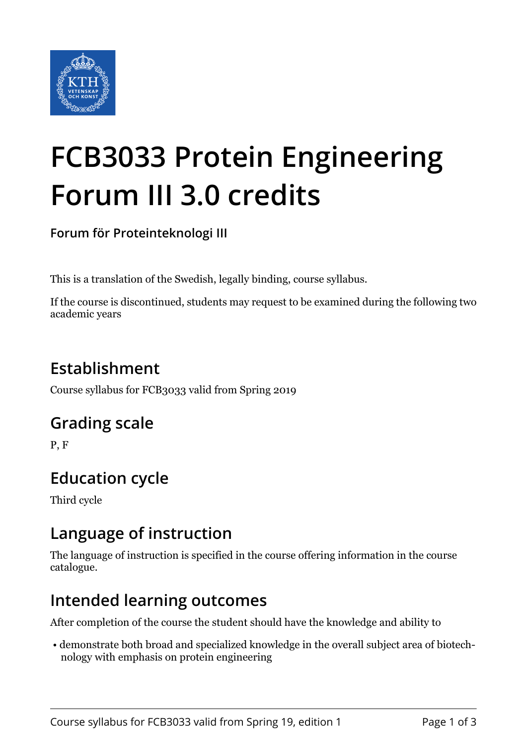

# **FCB3033 Protein Engineering Forum III 3.0 credits**

**Forum för Proteinteknologi III**

This is a translation of the Swedish, legally binding, course syllabus.

If the course is discontinued, students may request to be examined during the following two academic years

# **Establishment**

Course syllabus for FCB3033 valid from Spring 2019

### **Grading scale**

P, F

## **Education cycle**

Third cycle

### **Language of instruction**

The language of instruction is specified in the course offering information in the course catalogue.

### **Intended learning outcomes**

After completion of the course the student should have the knowledge and ability to

 • demonstrate both broad and specialized knowledge in the overall subject area of biotechnology with emphasis on protein engineering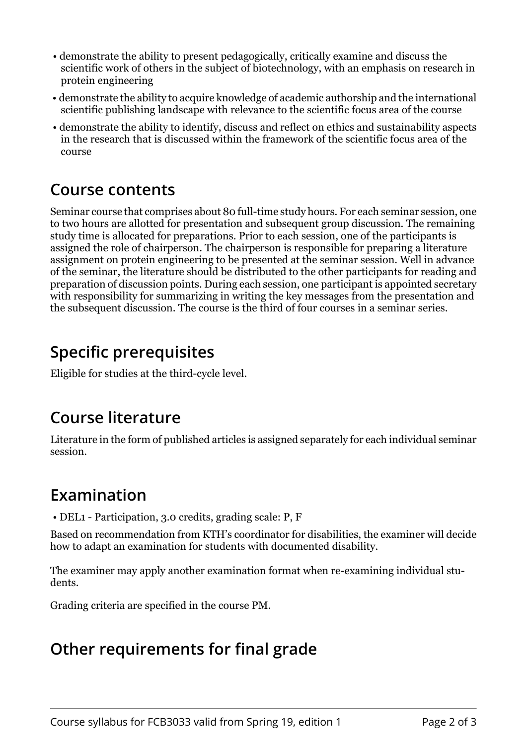- demonstrate the ability to present pedagogically, critically examine and discuss the scientific work of others in the subject of biotechnology, with an emphasis on research in protein engineering
- demonstrate the ability to acquire knowledge of academic authorship and the international scientific publishing landscape with relevance to the scientific focus area of the course
- demonstrate the ability to identify, discuss and reflect on ethics and sustainability aspects in the research that is discussed within the framework of the scientific focus area of the course

### **Course contents**

Seminar course that comprises about 80 full-time study hours. For each seminar session, one to two hours are allotted for presentation and subsequent group discussion. The remaining study time is allocated for preparations. Prior to each session, one of the participants is assigned the role of chairperson. The chairperson is responsible for preparing a literature assignment on protein engineering to be presented at the seminar session. Well in advance of the seminar, the literature should be distributed to the other participants for reading and preparation of discussion points. During each session, one participant is appointed secretary with responsibility for summarizing in writing the key messages from the presentation and the subsequent discussion. The course is the third of four courses in a seminar series.

## **Specific prerequisites**

Eligible for studies at the third-cycle level.

#### **Course literature**

Literature in the form of published articles is assigned separately for each individual seminar session.

#### **Examination**

• DEL1 - Participation, 3.0 credits, grading scale: P, F

Based on recommendation from KTH's coordinator for disabilities, the examiner will decide how to adapt an examination for students with documented disability.

The examiner may apply another examination format when re-examining individual students.

Grading criteria are specified in the course PM.

## **Other requirements for final grade**